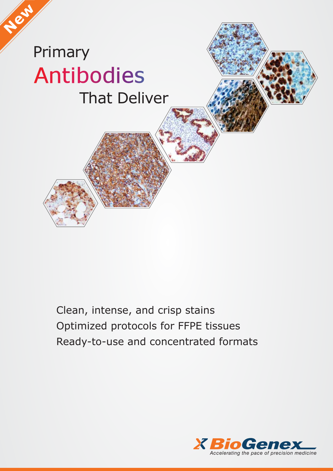# Primary **Antibodies** That Deliver

**New**

Clean, intense, and crisp stains Optimized protocols for FFPE tissues Ready-to-use and concentrated formats

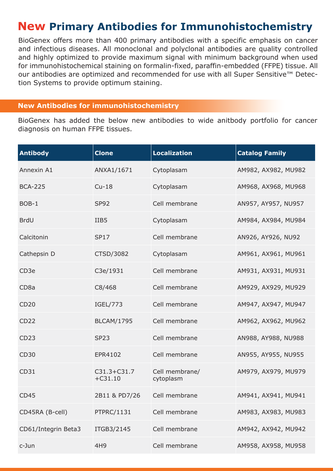## **New Primary Antibodies for Immunohistochemistry**

BioGenex offers more than 400 primary antibodies with a specific emphasis on cancer and infectious diseases. All monoclonal and polyclonal antibodies are quality controlled and highly optimized to provide maximum signal with minimum background when used for immunohistochemical staining on formalin-fixed, paraffin-embedded (FFPE) tissue. All our antibodies are optimized and recommended for use with all Super Sensitive™ Detection Systems to provide optimum staining.

#### **New Antibodies for immunohistochemistry**

BioGenex has added the below new antibodies to wide anitbody portfolio for cancer diagnosis on human FFPE tissues.

| <b>Antibody</b>     | <b>Clone</b>                 | <b>Localization</b>         | <b>Catalog Family</b> |
|---------------------|------------------------------|-----------------------------|-----------------------|
| Annexin A1          | ANXA1/1671                   | Cytoplasam                  | AM982, AX982, MU982   |
| <b>BCA-225</b>      | $Cu-18$                      | Cytoplasam                  | AM968, AX968, MU968   |
| BOB-1               | <b>SP92</b>                  | Cell membrane               | AN957, AY957, NU957   |
| <b>BrdU</b>         | IIB <sub>5</sub>             | Cytoplasam                  | AM984, AX984, MU984   |
| Calcitonin          | <b>SP17</b>                  | Cell membrane               | AN926, AY926, NU92    |
| Cathepsin D         | CTSD/3082                    | Cytoplasam                  | AM961, AX961, MU961   |
| CD <sub>3e</sub>    | C3e/1931                     | Cell membrane               | AM931, AX931, MU931   |
| CD <sub>8a</sub>    | C8/468                       | Cell membrane               | AM929, AX929, MU929   |
| <b>CD20</b>         | IGEL/773                     | Cell membrane               | AM947, AX947, MU947   |
| CD <sub>22</sub>    | <b>BLCAM/1795</b>            | Cell membrane               | AM962, AX962, MU962   |
| CD <sub>23</sub>    | <b>SP23</b>                  | Cell membrane               | AN988, AY988, NU988   |
| <b>CD30</b>         | EPR4102                      | Cell membrane               | AN955, AY955, NU955   |
| CD31                | $C31.3 + C31.7$<br>$+C31.10$ | Cell membrane/<br>cytoplasm | AM979, AX979, MU979   |
| CD45                | 2B11 & PD7/26                | Cell membrane               | AM941, AX941, MU941   |
| CD45RA (B-cell)     | PTPRC/1131                   | Cell membrane               | AM983, AX983, MU983   |
| CD61/Integrin Beta3 | ITGB3/2145                   | Cell membrane               | AM942, AX942, MU942   |
| c-Jun               | 4H9                          | Cell membrane               | AM958, AX958, MU958   |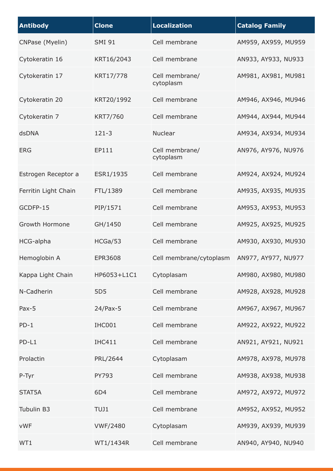| <b>Antibody</b>      | <b>Clone</b>    | <b>Localization</b>         | <b>Catalog Family</b> |
|----------------------|-----------------|-----------------------------|-----------------------|
| CNPase (Myelin)      | <b>SMI 91</b>   | Cell membrane               | AM959, AX959, MU959   |
| Cytokeratin 16       | KRT16/2043      | Cell membrane               | AN933, AY933, NU933   |
| Cytokeratin 17       | KRT17/778       | Cell membrane/<br>cytoplasm | AM981, AX981, MU981   |
| Cytokeratin 20       | KRT20/1992      | Cell membrane               | AM946, AX946, MU946   |
| Cytokeratin 7        | KRT7/760        | Cell membrane               | AM944, AX944, MU944   |
| dsDNA                | $121 - 3$       | <b>Nuclear</b>              | AM934, AX934, MU934   |
| <b>ERG</b>           | EP111           | Cell membrane/<br>cytoplasm | AN976, AY976, NU976   |
| Estrogen Receptor a  | ESR1/1935       | Cell membrane               | AM924, AX924, MU924   |
| Ferritin Light Chain | FTL/1389        | Cell membrane               | AM935, AX935, MU935   |
| GCDFP-15             | PIP/1571        | Cell membrane               | AM953, AX953, MU953   |
| Growth Hormone       | GH/1450         | Cell membrane               | AM925, AX925, MU925   |
| HCG-alpha            | HCGa/53         | Cell membrane               | AM930, AX930, MU930   |
| Hemoglobin A         | <b>EPR3608</b>  | Cell membrane/cytoplasm     | AN977, AY977, NU977   |
| Kappa Light Chain    | HP6053+L1C1     | Cytoplasam                  | AM980, AX980, MU980   |
| N-Cadherin           | 5D <sub>5</sub> | Cell membrane               | AM928, AX928, MU928   |
| $Pax-5$              | $24$ /Pax-5     | Cell membrane               | AM967, AX967, MU967   |
| $PD-1$               | IHC001          | Cell membrane               | AM922, AX922, MU922   |
| PD-L1                | <b>IHC411</b>   | Cell membrane               | AN921, AY921, NU921   |
| Prolactin            | PRL/2644        | Cytoplasam                  | AM978, AX978, MU978   |
| P-Tyr                | PY793           | Cell membrane               | AM938, AX938, MU938   |
| STAT5A               | 6D4             | Cell membrane               | AM972, AX972, MU972   |
| Tubulin B3           | TUJ1            | Cell membrane               | AM952, AX952, MU952   |
| <b>vWF</b>           | <b>VWF/2480</b> | Cytoplasam                  | AM939, AX939, MU939   |
| WT1                  | WT1/1434R       | Cell membrane               | AN940, AY940, NU940   |